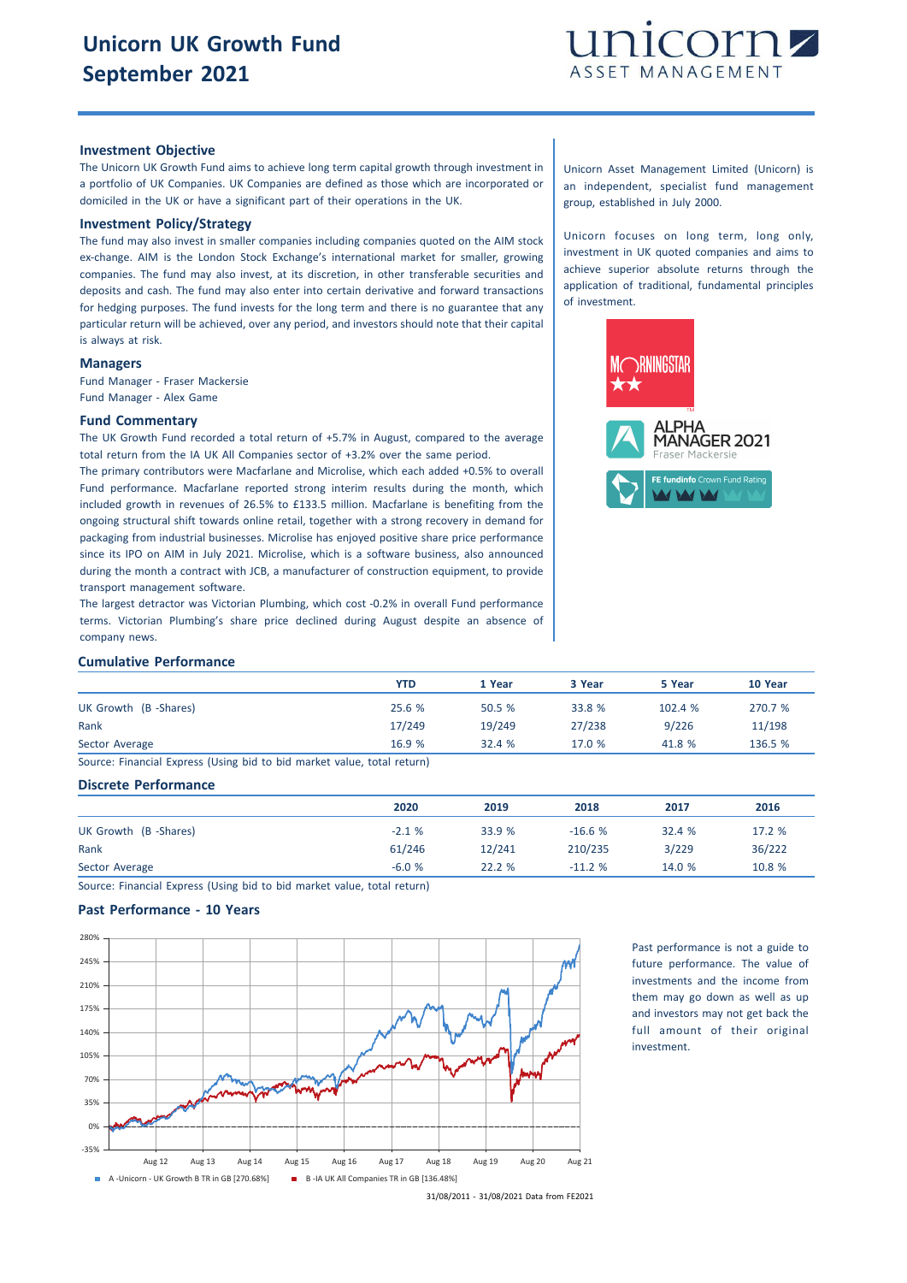

## **Investment Objective**

The Unicorn UK Growth Fund aims to achieve long term capital growth through investment in a portfolio of UK Companies. UK Companies are defined as those which are incorporated or domiciled in the UK or have a significant part of their operations in the UK.

## **Investment Policy/Strategy**

The fund may also invest in smaller companies including companies quoted on the AIM stock ex-change. AIM is the London Stock Exchange's international market for smaller, growing companies. The fund may also invest, at its discretion, in other transferable securities and deposits and cash. The fund may also enter into certain derivative and forward transactions for hedging purposes. The fund invests for the long term and there is no guarantee that any particular return will be achieved, over any period, and investors should note that their capital is always at risk.

## **Managers**

Fund Manager - Fraser Mackersie Fund Manager - Alex Game

## **Fund Commentary**

The UK Growth Fund recorded a total return of +5.7% in August, compared to the average total return from the IA UK All Companies sector of +3.2% over the same period.

The primary contributors were Macfarlane and Microlise, which each added +0.5% to overall Fund performance. Macfarlane reported strong interim results during the month, which included growth in revenues of 26.5% to £133.5 million. Macfarlane is benefiting from the ongoing structural shift towards online retail, together with a strong recovery in demand for packaging from industrial businesses. Microlise has enjoyed positive share price performance since its IPO on AIM in July 2021. Microlise, which is a software business, also announced during the month a contract with JCB, a manufacturer of construction equipment, to provide transport management software.

The largest detractor was Victorian Plumbing, which cost -0.2% in overall Fund performance terms. Victorian Plumbing's share price declined during August despite an absence of company news.

Unicorn Asset Management Limited (Unicorn) is an independent, specialist fund management group, established in July 2000.

Unicorn focuses on long term, long only, investment in UK quoted companies and aims to achieve superior absolute returns through the application of traditional, fundamental principles of investment.



#### **Cumulative Performance**

|                                                                       | YTD    | 1 Year | 3 Year | 5 Year | 10 Year |
|-----------------------------------------------------------------------|--------|--------|--------|--------|---------|
| UK Growth (B-Shares)                                                  | 25.6%  | 50.5 % | 33.8 % | 102.4% | 270.7 % |
| Rank                                                                  | 17/249 | 19/249 | 27/238 | 9/226  | 11/198  |
| Sector Average                                                        | 16.9 % | 32.4%  | 17.0%  | 41.8 % | 136.5 % |
| Course: Einansial Evasos (Hsing bid to bid market value total seturn) |        |        |        |        |         |

Source: Financial Express (Using bid to bid market value, total return)

### **Discrete Performance**

|                      | 2020    | 2019   | 2018     | 2017   | 2016   |
|----------------------|---------|--------|----------|--------|--------|
| UK Growth (B-Shares) | $-2.1%$ | 33.9 % | $-16.6%$ | 32.4 % | 17.2 % |
| Rank                 | 61/246  | 12/241 | 210/235  | 3/229  | 36/222 |
| Sector Average       | $-6.0%$ | 22.2%  | $-11.2%$ | 14.0 % | 10.8 % |

Source: Financial Express (Using bid to bid market value, total return)

## **Past Performance - 10 Years**



Past performance is not a guide to future performance. The value of investments and the income from them may go down as well as up and investors may not get back the full amount of their original investment.

31/08/2011 - 31/08/2021 Data from FE2021